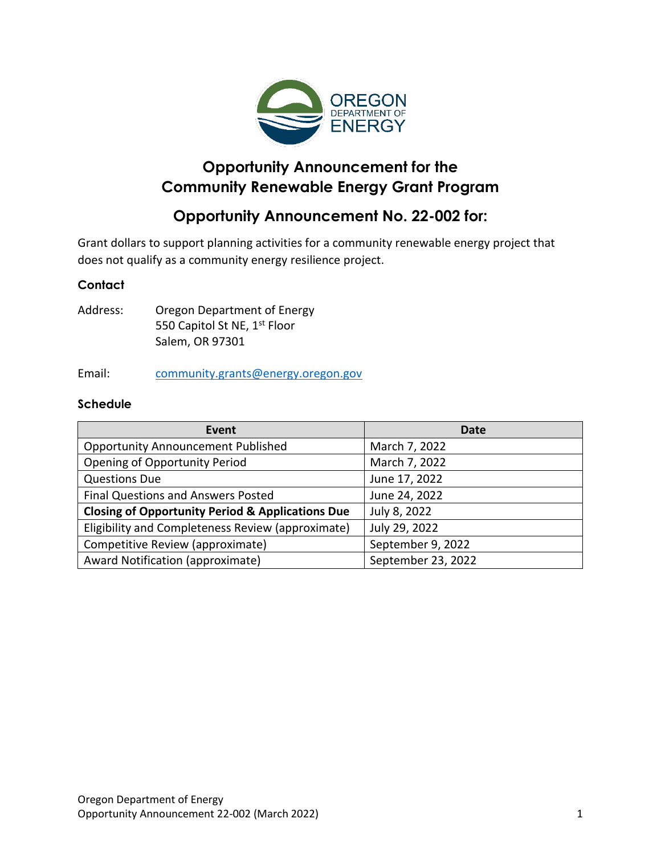

# **Opportunity Announcement for the Community Renewable Energy Grant Program**

# **Opportunity Announcement No. 22-002 for:**

Grant dollars to support planning activities for a community renewable energy project that does not qualify as a community energy resilience project.

#### **Contact**

Address: Oregon Department of Energy 550 Capitol St NE, 1<sup>st</sup> Floor Salem, OR 97301

Email: [community.grants@energy.oregon.gov](mailto:community.grants@energy.oregon.gov)

#### **Schedule**

| Event                                                       | Date               |
|-------------------------------------------------------------|--------------------|
| <b>Opportunity Announcement Published</b>                   | March 7, 2022      |
| <b>Opening of Opportunity Period</b>                        | March 7, 2022      |
| <b>Questions Due</b>                                        | June 17, 2022      |
| Final Questions and Answers Posted                          | June 24, 2022      |
| <b>Closing of Opportunity Period &amp; Applications Due</b> | July 8, 2022       |
| Eligibility and Completeness Review (approximate)           | July 29, 2022      |
| Competitive Review (approximate)                            | September 9, 2022  |
| Award Notification (approximate)                            | September 23, 2022 |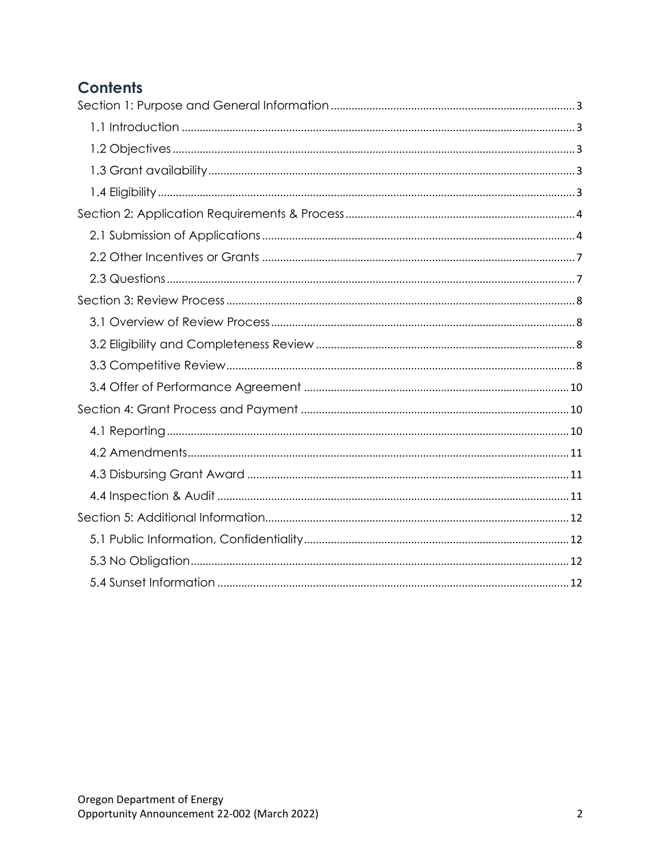# **Contents**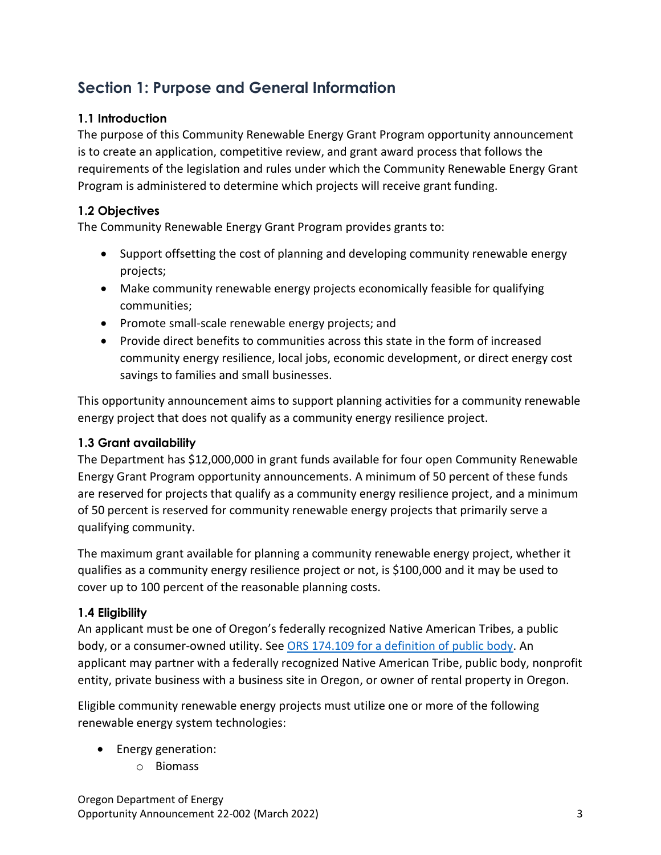# <span id="page-2-0"></span>**Section 1: Purpose and General Information**

# <span id="page-2-1"></span>**1.1 Introduction**

The purpose of this Community Renewable Energy Grant Program opportunity announcement is to create an application, competitive review, and grant award process that follows the requirements of the legislation and rules under which the Community Renewable Energy Grant Program is administered to determine which projects will receive grant funding.

# <span id="page-2-2"></span>**1.2 Objectives**

The Community Renewable Energy Grant Program provides grants to:

- Support offsetting the cost of planning and developing community renewable energy projects;
- Make community renewable energy projects economically feasible for qualifying communities;
- Promote small-scale renewable energy projects; and
- Provide direct benefits to communities across this state in the form of increased community energy resilience, local jobs, economic development, or direct energy cost savings to families and small businesses.

This opportunity announcement aims to support planning activities for a community renewable energy project that does not qualify as a community energy resilience project.

# <span id="page-2-3"></span>**1.3 Grant availability**

The Department has \$12,000,000 in grant funds available for four open Community Renewable Energy Grant Program opportunity announcements. A minimum of 50 percent of these funds are reserved for projects that qualify as a community energy resilience project, and a minimum of 50 percent is reserved for community renewable energy projects that primarily serve a qualifying community.

The maximum grant available for planning a community renewable energy project, whether it qualifies as a community energy resilience project or not, is \$100,000 and it may be used to cover up to 100 percent of the reasonable planning costs.

# <span id="page-2-4"></span>**1.4 Eligibility**

An applicant must be one of Oregon's federally recognized Native American Tribes, a public body, or a consumer-owned utility. See [ORS 174.109 for a definition of public body.](https://www.oregonlegislature.gov/bills_laws/ors/ors174.html#:~:text=174.109%20%E2%80%9CPublic%20body%E2%80%9D%20defined.%20Subject%20to%20ORS%20174.108%2C%20as%20used%20in%20the%20statutes%20of%20this%20state%20%E2%80%9Cpublic%20body%E2%80%9D%20means%20state%20government%20bodies%2C%20local%20government%20bodies%20and%20special%20government%20bodies.%20%5B2001%20c.74%20%C2%A72%5D) An applicant may partner with a federally recognized Native American Tribe, public body, nonprofit entity, private business with a business site in Oregon, or owner of rental property in Oregon.

Eligible community renewable energy projects must utilize one or more of the following renewable energy system technologies:

- Energy generation:
	- o Biomass

Oregon Department of Energy Opportunity Announcement 22-002 (March 2022) 3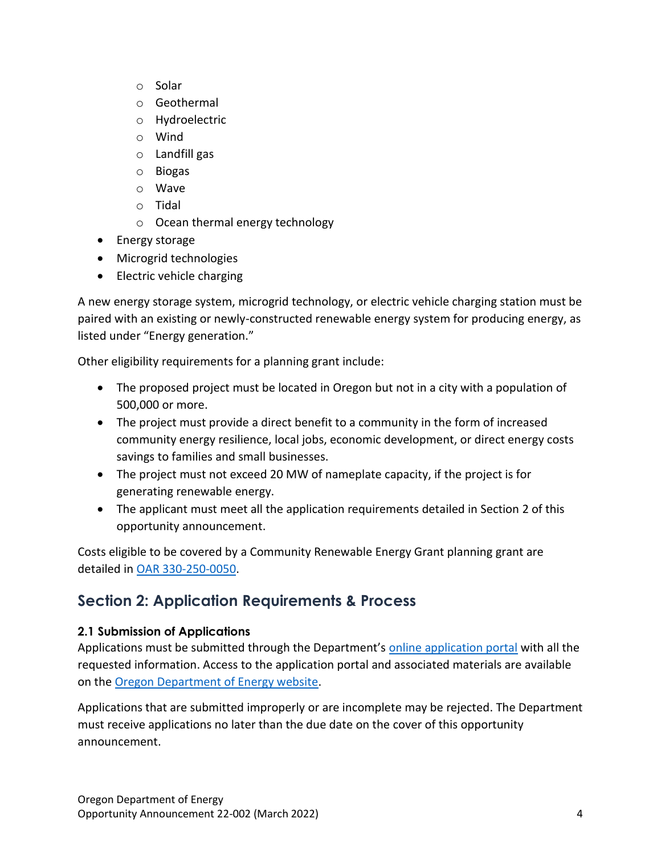- o Solar
- o Geothermal
- o Hydroelectric
- o Wind
- o Landfill gas
- o Biogas
- o Wave
- o Tidal
- o Ocean thermal energy technology
- Energy storage
- Microgrid technologies
- Electric vehicle charging

A new energy storage system, microgrid technology, or electric vehicle charging station must be paired with an existing or newly-constructed renewable energy system for producing energy, as listed under "Energy generation."

Other eligibility requirements for a planning grant include:

- The proposed project must be located in Oregon but not in a city with a population of 500,000 or more.
- The project must provide a direct benefit to a community in the form of increased community energy resilience, local jobs, economic development, or direct energy costs savings to families and small businesses.
- The project must not exceed 20 MW of nameplate capacity, if the project is for generating renewable energy.
- The applicant must meet all the application requirements detailed in Section 2 of this opportunity announcement.

Costs eligible to be covered by a Community Renewable Energy Grant planning grant are detailed in [OAR 330-250-0050.](https://secure.sos.state.or.us/oard/viewSingleRule.action?ruleVrsnRsn=286904)

# <span id="page-3-0"></span>**Section 2: Application Requirements & Process**

# <span id="page-3-1"></span>**2.1 Submission of Applications**

Applications must be submitted through the Department's [online application portal](https://odoe.powerappsportals.us/en-US/crephome) with all the requested information. Access to the application portal and associated materials are available on the [Oregon Department of Energy website.](https://www.oregon.gov/energy/Incentives/Pages/CREP.aspx)

Applications that are submitted improperly or are incomplete may be rejected. The Department must receive applications no later than the due date on the cover of this opportunity announcement.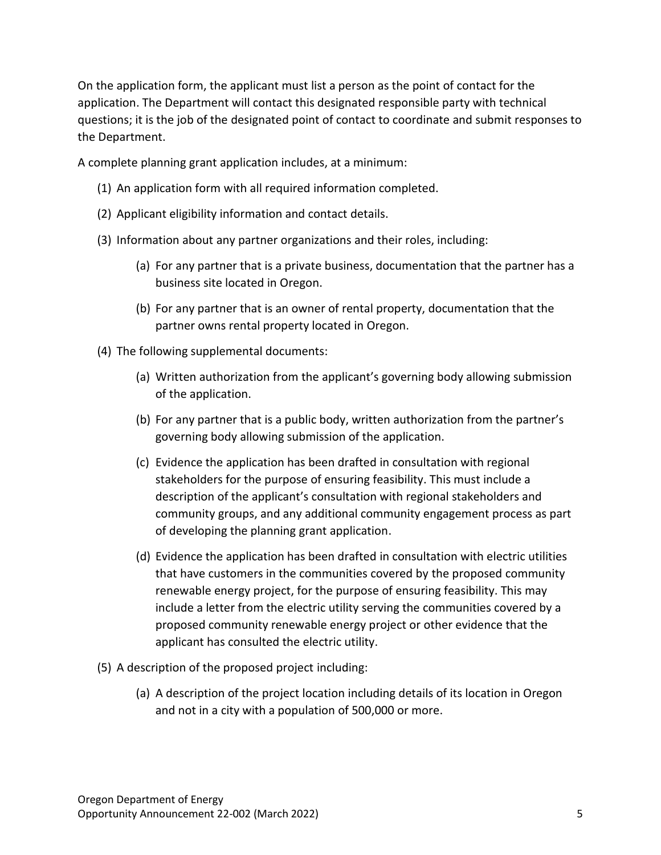On the application form, the applicant must list a person as the point of contact for the application. The Department will contact this designated responsible party with technical questions; it is the job of the designated point of contact to coordinate and submit responses to the Department.

A complete planning grant application includes, at a minimum:

- (1) An application form with all required information completed.
- (2) Applicant eligibility information and contact details.
- (3) Information about any partner organizations and their roles, including:
	- (a) For any partner that is a private business, documentation that the partner has a business site located in Oregon.
	- (b) For any partner that is an owner of rental property, documentation that the partner owns rental property located in Oregon.
- (4) The following supplemental documents:
	- (a) Written authorization from the applicant's governing body allowing submission of the application.
	- (b) For any partner that is a public body, written authorization from the partner's governing body allowing submission of the application.
	- (c) Evidence the application has been drafted in consultation with regional stakeholders for the purpose of ensuring feasibility. This must include a description of the applicant's consultation with regional stakeholders and community groups, and any additional community engagement process as part of developing the planning grant application.
	- (d) Evidence the application has been drafted in consultation with electric utilities that have customers in the communities covered by the proposed community renewable energy project, for the purpose of ensuring feasibility. This may include a letter from the electric utility serving the communities covered by a proposed community renewable energy project or other evidence that the applicant has consulted the electric utility.
- (5) A description of the proposed project including:
	- (a) A description of the project location including details of its location in Oregon and not in a city with a population of 500,000 or more.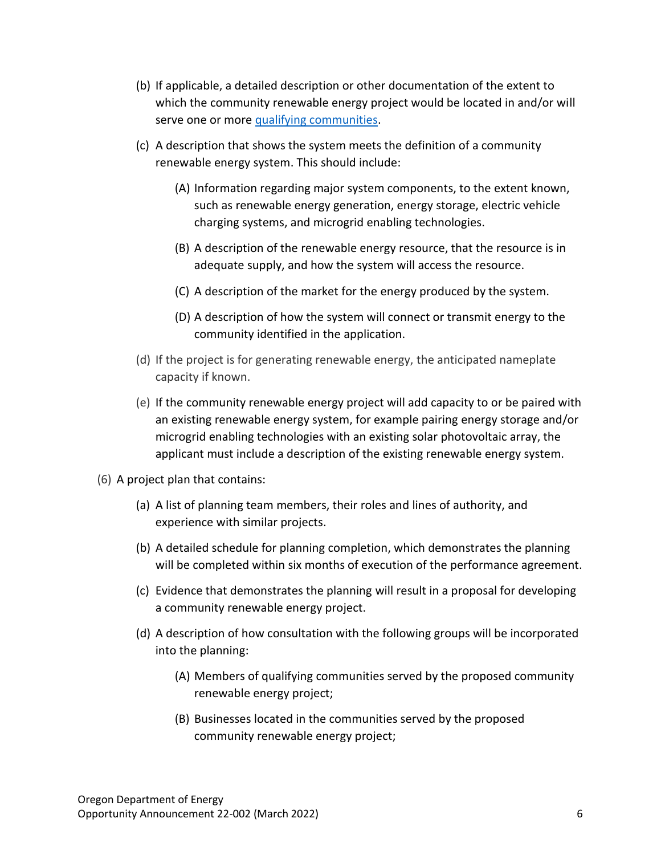- (b) If applicable, a detailed description or other documentation of the extent to which the community renewable energy project would be located in and/or will serve one or more [qualifying communities.](https://www.oregonlegislature.gov/bills_laws/ors/ors470.html#:~:text=(9)%20%E2%80%9CQualifying%20community%E2%80%9D%20means%20a%20community%20that%20qualifies%20as%20an%20environmental%20justice%20community%20as%20defined%20in%20section%201%20of%20this%202021%20Act%20%5B469A.400%5D.)
- (c) A description that shows the system meets the definition of a community renewable energy system. This should include:
	- (A) Information regarding major system components, to the extent known, such as renewable energy generation, energy storage, electric vehicle charging systems, and microgrid enabling technologies.
	- (B) A description of the renewable energy resource, that the resource is in adequate supply, and how the system will access the resource.
	- (C) A description of the market for the energy produced by the system.
	- (D) A description of how the system will connect or transmit energy to the community identified in the application.
- (d) If the project is for generating renewable energy, the anticipated nameplate capacity if known.
- (e) If the community renewable energy project will add capacity to or be paired with an existing renewable energy system, for example pairing energy storage and/or microgrid enabling technologies with an existing solar photovoltaic array, the applicant must include a description of the existing renewable energy system.
- (6) A project plan that contains:
	- (a) A list of planning team members, their roles and lines of authority, and experience with similar projects.
	- (b) A detailed schedule for planning completion, which demonstrates the planning will be completed within six months of execution of the performance agreement.
	- (c) Evidence that demonstrates the planning will result in a proposal for developing a community renewable energy project.
	- (d) A description of how consultation with the following groups will be incorporated into the planning:
		- (A) Members of qualifying communities served by the proposed community renewable energy project;
		- (B) Businesses located in the communities served by the proposed community renewable energy project;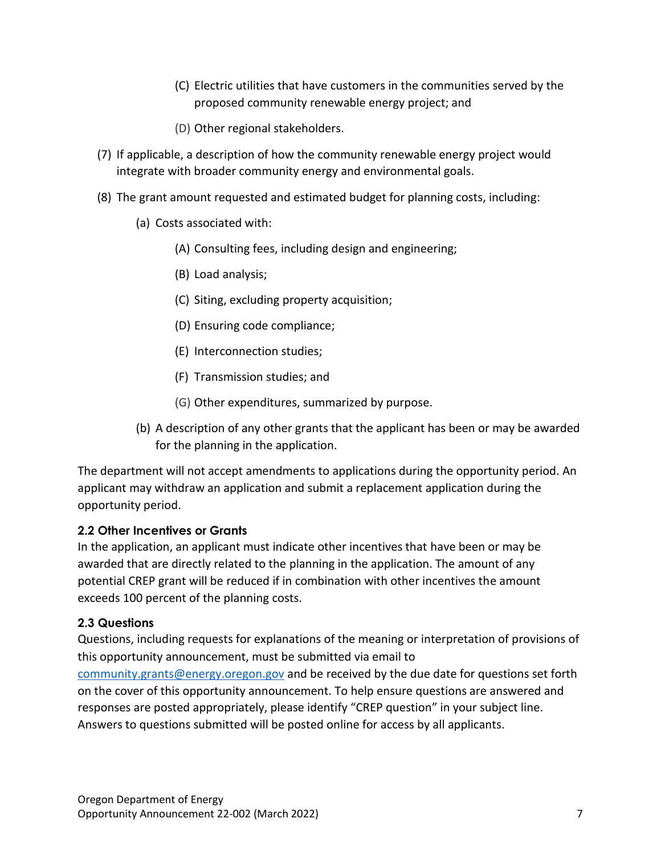- (C) Electric utilities that have customers in the communities served by the proposed community renewable energy project; and
- (D) Other regional stakeholders.
- (7) If applicable, a description of how the community renewable energy project would integrate with broader community energy and environmental goals.
- (8) The grant amount requested and estimated budget for planning costs, including:
	- (a) Costs associated with:
		- (A) Consulting fees, including design and engineering;
		- (B) Load analysis;
		- (C) Siting, excluding property acquisition;
		- (D) Ensuring code compliance;
		- (E) Interconnection studies;
		- (F) Transmission studies; and
		- (G) Other expenditures, summarized by purpose.
	- (b) A description of any other grants that the applicant has been or may be awarded for the planning in the application.

The department will not accept amendments to applications during the opportunity period. An applicant may withdraw an application and submit a replacement application during the opportunity period.

# <span id="page-6-0"></span>**2.2 Other Incentives or Grants**

In the application, an applicant must indicate other incentives that have been or may be awarded that are directly related to the planning in the application. The amount of any potential CREP grant will be reduced if in combination with other incentives the amount exceeds 100 percent of the planning costs.

# <span id="page-6-1"></span>**2.3 Questions**

Questions, including requests for explanations of the meaning or interpretation of provisions of this opportunity announcement, must be submitted via email to [community.grants@energy.oregon.gov](mailto:community.grants@energy.oregon.gov) and be received by the due date for questions set forth on the cover of this opportunity announcement. To help ensure questions are answered and responses are posted appropriately, please identify "CREP question" in your subject line. Answers to questions submitted will be posted online for access by all applicants.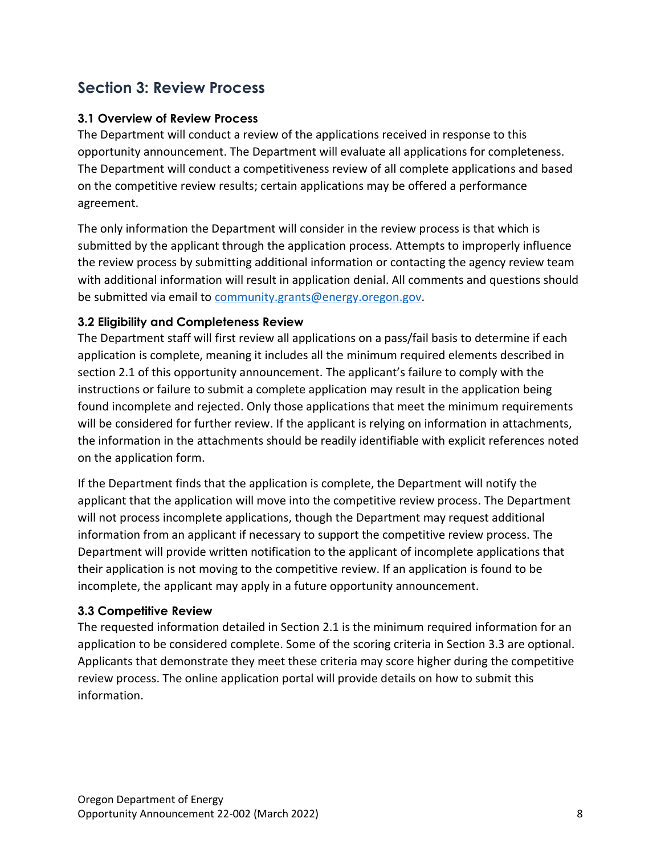# <span id="page-7-0"></span>**Section 3: Review Process**

#### <span id="page-7-1"></span>**3.1 Overview of Review Process**

The Department will conduct a review of the applications received in response to this opportunity announcement. The Department will evaluate all applications for completeness. The Department will conduct a competitiveness review of all complete applications and based on the competitive review results; certain applications may be offered a performance agreement.

The only information the Department will consider in the review process is that which is submitted by the applicant through the application process. Attempts to improperly influence the review process by submitting additional information or contacting the agency review team with additional information will result in application denial. All comments and questions should be submitted via email to [community.grants@energy.oregon.gov.](mailto:community.grants@energy.oregon.gov)

#### <span id="page-7-2"></span>**3.2 Eligibility and Completeness Review**

The Department staff will first review all applications on a pass/fail basis to determine if each application is complete, meaning it includes all the minimum required elements described in section 2.1 of this opportunity announcement. The applicant's failure to comply with the instructions or failure to submit a complete application may result in the application being found incomplete and rejected. Only those applications that meet the minimum requirements will be considered for further review. If the applicant is relying on information in attachments, the information in the attachments should be readily identifiable with explicit references noted on the application form.

If the Department finds that the application is complete, the Department will notify the applicant that the application will move into the competitive review process. The Department will not process incomplete applications, though the Department may request additional information from an applicant if necessary to support the competitive review process. The Department will provide written notification to the applicant of incomplete applications that their application is not moving to the competitive review. If an application is found to be incomplete, the applicant may apply in a future opportunity announcement.

#### <span id="page-7-3"></span>**3.3 Competitive Review**

The requested information detailed in Section 2.1 is the minimum required information for an application to be considered complete. Some of the scoring criteria in Section 3.3 are optional. Applicants that demonstrate they meet these criteria may score higher during the competitive review process. The online application portal will provide details on how to submit this information.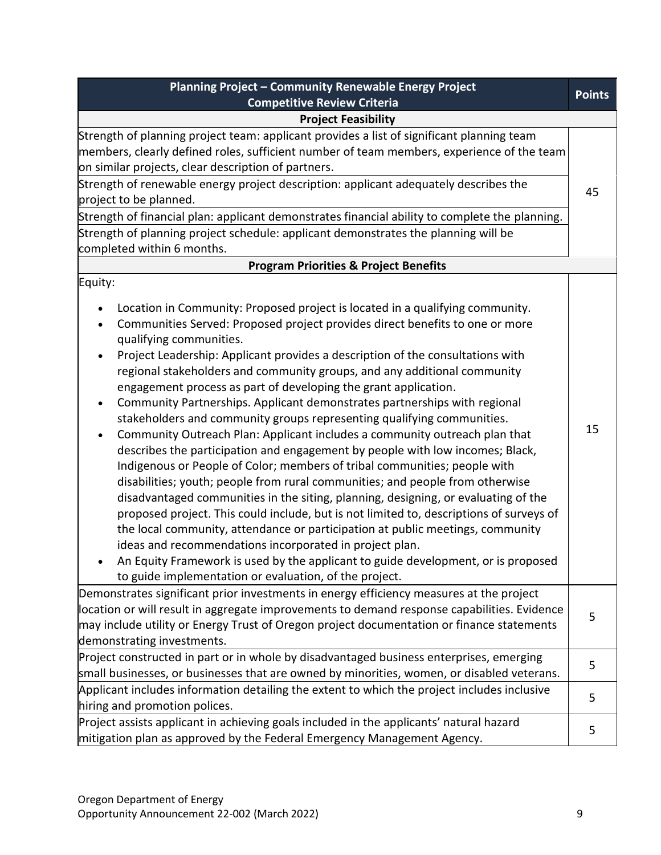| Planning Project - Community Renewable Energy Project                                                                                                                                                                                                                                                                                                                                                                                                                                                                                                                                                                                                                                                                                                                                                                                                                                                                                                                                                                                                                                                                                                                                                                                                                                                                                                                                                                                                                  |               |
|------------------------------------------------------------------------------------------------------------------------------------------------------------------------------------------------------------------------------------------------------------------------------------------------------------------------------------------------------------------------------------------------------------------------------------------------------------------------------------------------------------------------------------------------------------------------------------------------------------------------------------------------------------------------------------------------------------------------------------------------------------------------------------------------------------------------------------------------------------------------------------------------------------------------------------------------------------------------------------------------------------------------------------------------------------------------------------------------------------------------------------------------------------------------------------------------------------------------------------------------------------------------------------------------------------------------------------------------------------------------------------------------------------------------------------------------------------------------|---------------|
| <b>Competitive Review Criteria</b>                                                                                                                                                                                                                                                                                                                                                                                                                                                                                                                                                                                                                                                                                                                                                                                                                                                                                                                                                                                                                                                                                                                                                                                                                                                                                                                                                                                                                                     | <b>Points</b> |
| <b>Project Feasibility</b>                                                                                                                                                                                                                                                                                                                                                                                                                                                                                                                                                                                                                                                                                                                                                                                                                                                                                                                                                                                                                                                                                                                                                                                                                                                                                                                                                                                                                                             |               |
| Strength of planning project team: applicant provides a list of significant planning team<br>members, clearly defined roles, sufficient number of team members, experience of the team<br>on similar projects, clear description of partners.<br>Strength of renewable energy project description: applicant adequately describes the<br>project to be planned.<br>Strength of financial plan: applicant demonstrates financial ability to complete the planning.<br>Strength of planning project schedule: applicant demonstrates the planning will be<br>completed within 6 months.                                                                                                                                                                                                                                                                                                                                                                                                                                                                                                                                                                                                                                                                                                                                                                                                                                                                                  | 45            |
| <b>Program Priorities &amp; Project Benefits</b>                                                                                                                                                                                                                                                                                                                                                                                                                                                                                                                                                                                                                                                                                                                                                                                                                                                                                                                                                                                                                                                                                                                                                                                                                                                                                                                                                                                                                       |               |
| Equity:<br>Location in Community: Proposed project is located in a qualifying community.<br>$\bullet$<br>Communities Served: Proposed project provides direct benefits to one or more<br>$\bullet$<br>qualifying communities.<br>Project Leadership: Applicant provides a description of the consultations with<br>$\bullet$<br>regional stakeholders and community groups, and any additional community<br>engagement process as part of developing the grant application.<br>Community Partnerships. Applicant demonstrates partnerships with regional<br>$\bullet$<br>stakeholders and community groups representing qualifying communities.<br>Community Outreach Plan: Applicant includes a community outreach plan that<br>$\bullet$<br>describes the participation and engagement by people with low incomes; Black,<br>Indigenous or People of Color; members of tribal communities; people with<br>disabilities; youth; people from rural communities; and people from otherwise<br>disadvantaged communities in the siting, planning, designing, or evaluating of the<br>proposed project. This could include, but is not limited to, descriptions of surveys of<br>the local community, attendance or participation at public meetings, community<br>ideas and recommendations incorporated in project plan.<br>An Equity Framework is used by the applicant to guide development, or is proposed<br>to guide implementation or evaluation, of the project. | 15            |
| Demonstrates significant prior investments in energy efficiency measures at the project<br>location or will result in aggregate improvements to demand response capabilities. Evidence<br>may include utility or Energy Trust of Oregon project documentation or finance statements<br>demonstrating investments.                                                                                                                                                                                                                                                                                                                                                                                                                                                                                                                                                                                                                                                                                                                                                                                                                                                                                                                                                                                                                                                                                                                                                      | 5             |
| Project constructed in part or in whole by disadvantaged business enterprises, emerging<br>small businesses, or businesses that are owned by minorities, women, or disabled veterans.                                                                                                                                                                                                                                                                                                                                                                                                                                                                                                                                                                                                                                                                                                                                                                                                                                                                                                                                                                                                                                                                                                                                                                                                                                                                                  | 5             |
| Applicant includes information detailing the extent to which the project includes inclusive<br>hiring and promotion polices.                                                                                                                                                                                                                                                                                                                                                                                                                                                                                                                                                                                                                                                                                                                                                                                                                                                                                                                                                                                                                                                                                                                                                                                                                                                                                                                                           | 5             |
| Project assists applicant in achieving goals included in the applicants' natural hazard<br>mitigation plan as approved by the Federal Emergency Management Agency.                                                                                                                                                                                                                                                                                                                                                                                                                                                                                                                                                                                                                                                                                                                                                                                                                                                                                                                                                                                                                                                                                                                                                                                                                                                                                                     | 5             |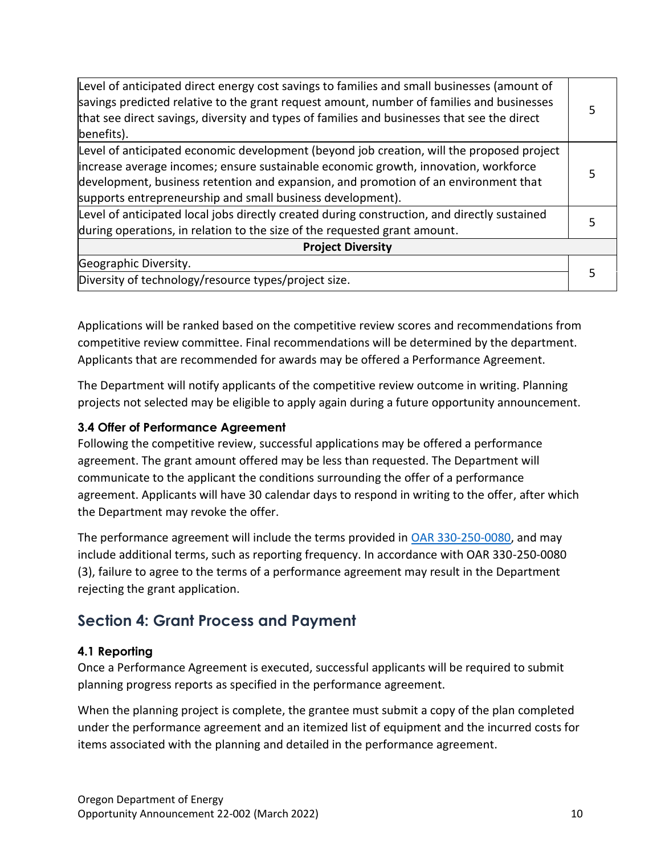| Level of anticipated direct energy cost savings to families and small businesses (amount of<br>savings predicted relative to the grant request amount, number of families and businesses<br>that see direct savings, diversity and types of families and businesses that see the direct<br>benefits).                                 |  |  |
|---------------------------------------------------------------------------------------------------------------------------------------------------------------------------------------------------------------------------------------------------------------------------------------------------------------------------------------|--|--|
| Level of anticipated economic development (beyond job creation, will the proposed project<br>increase average incomes; ensure sustainable economic growth, innovation, workforce<br>development, business retention and expansion, and promotion of an environment that<br>supports entrepreneurship and small business development). |  |  |
| Level of anticipated local jobs directly created during construction, and directly sustained<br>during operations, in relation to the size of the requested grant amount.                                                                                                                                                             |  |  |
| <b>Project Diversity</b>                                                                                                                                                                                                                                                                                                              |  |  |
| Geographic Diversity.                                                                                                                                                                                                                                                                                                                 |  |  |
| Diversity of technology/resource types/project size.                                                                                                                                                                                                                                                                                  |  |  |

Applications will be ranked based on the competitive review scores and recommendations from competitive review committee. Final recommendations will be determined by the department. Applicants that are recommended for awards may be offered a Performance Agreement.

The Department will notify applicants of the competitive review outcome in writing. Planning projects not selected may be eligible to apply again during a future opportunity announcement.

#### <span id="page-9-0"></span>**3.4 Offer of Performance Agreement**

Following the competitive review, successful applications may be offered a performance agreement. The grant amount offered may be less than requested. The Department will communicate to the applicant the conditions surrounding the offer of a performance agreement. Applicants will have 30 calendar days to respond in writing to the offer, after which the Department may revoke the offer.

The performance agreement will include the terms provided in [OAR 330-250-0080,](https://secure.sos.state.or.us/oard/viewSingleRule.action?ruleVrsnRsn=286910) and may include additional terms, such as reporting frequency. In accordance with OAR 330-250-0080 (3), failure to agree to the terms of a performance agreement may result in the Department rejecting the grant application.

# <span id="page-9-1"></span>**Section 4: Grant Process and Payment**

#### <span id="page-9-2"></span>**4.1 Reporting**

Once a Performance Agreement is executed, successful applicants will be required to submit planning progress reports as specified in the performance agreement.

When the planning project is complete, the grantee must submit a copy of the plan completed under the performance agreement and an itemized list of equipment and the incurred costs for items associated with the planning and detailed in the performance agreement.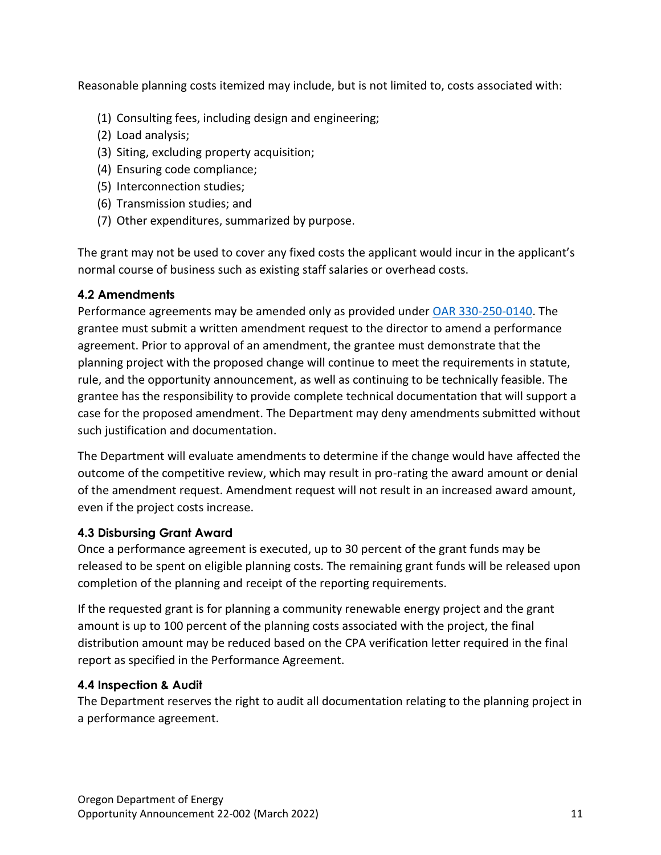Reasonable planning costs itemized may include, but is not limited to, costs associated with:

- (1) Consulting fees, including design and engineering;
- (2) Load analysis;
- (3) Siting, excluding property acquisition;
- (4) Ensuring code compliance;
- (5) Interconnection studies;
- (6) Transmission studies; and
- (7) Other expenditures, summarized by purpose.

The grant may not be used to cover any fixed costs the applicant would incur in the applicant's normal course of business such as existing staff salaries or overhead costs.

# <span id="page-10-0"></span>**4.2 Amendments**

Performance agreements may be amended only as provided under [OAR 330-250-0140.](https://secure.sos.state.or.us/oard/viewSingleRule.action?ruleVrsnRsn=286916) The grantee must submit a written amendment request to the director to amend a performance agreement. Prior to approval of an amendment, the grantee must demonstrate that the planning project with the proposed change will continue to meet the requirements in statute, rule, and the opportunity announcement, as well as continuing to be technically feasible. The grantee has the responsibility to provide complete technical documentation that will support a case for the proposed amendment. The Department may deny amendments submitted without such justification and documentation.

The Department will evaluate amendments to determine if the change would have affected the outcome of the competitive review, which may result in pro-rating the award amount or denial of the amendment request. Amendment request will not result in an increased award amount, even if the project costs increase.

# <span id="page-10-1"></span>**4.3 Disbursing Grant Award**

Once a performance agreement is executed, up to 30 percent of the grant funds may be released to be spent on eligible planning costs. The remaining grant funds will be released upon completion of the planning and receipt of the reporting requirements.

If the requested grant is for planning a community renewable energy project and the grant amount is up to 100 percent of the planning costs associated with the project, the final distribution amount may be reduced based on the CPA verification letter required in the final report as specified in the Performance Agreement.

# <span id="page-10-2"></span>**4.4 Inspection & Audit**

The Department reserves the right to audit all documentation relating to the planning project in a performance agreement.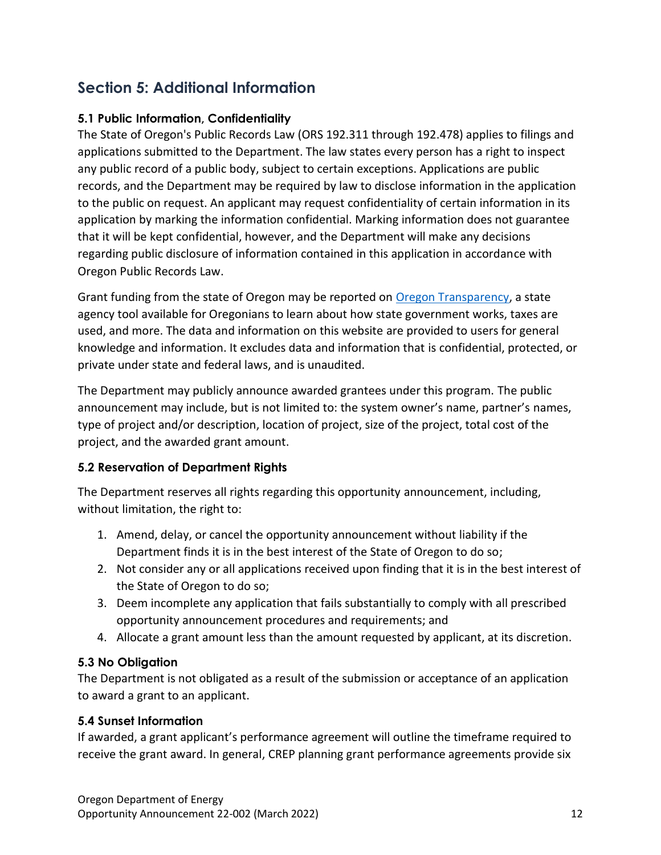# <span id="page-11-0"></span>**Section 5: Additional Information**

### <span id="page-11-1"></span>**5.1 Public Information, Confidentiality**

The State of Oregon's Public Records Law (ORS 192.311 through 192.478) applies to filings and applications submitted to the Department. The law states every person has a right to inspect any public record of a public body, subject to certain exceptions. Applications are public records, and the Department may be required by law to disclose information in the application to the public on request. An applicant may request confidentiality of certain information in its application by marking the information confidential. Marking information does not guarantee that it will be kept confidential, however, and the Department will make any decisions regarding public disclosure of information contained in this application in accordance with Oregon Public Records Law.

Grant funding from the state of Oregon may be reported on [Oregon Transparency,](https://www.oregon.gov/transparency/pages/index.aspx) a state agency tool available for Oregonians to learn about how state government works, taxes are used, and more. The data and information on this website are provided to users for general knowledge and information. It excludes data and information that is confidential, protected, or private under state and federal laws, and is unaudited.

The Department may publicly announce awarded grantees under this program. The public announcement may include, but is not limited to: the system owner's name, partner's names, type of project and/or description, location of project, size of the project, total cost of the project, and the awarded grant amount.

# **5.2 Reservation of Department Rights**

The Department reserves all rights regarding this opportunity announcement, including, without limitation, the right to:

- 1. Amend, delay, or cancel the opportunity announcement without liability if the Department finds it is in the best interest of the State of Oregon to do so;
- 2. Not consider any or all applications received upon finding that it is in the best interest of the State of Oregon to do so;
- 3. Deem incomplete any application that fails substantially to comply with all prescribed opportunity announcement procedures and requirements; and
- 4. Allocate a grant amount less than the amount requested by applicant, at its discretion.

# <span id="page-11-2"></span>**5.3 No Obligation**

The Department is not obligated as a result of the submission or acceptance of an application to award a grant to an applicant.

# <span id="page-11-3"></span>**5.4 Sunset Information**

If awarded, a grant applicant's performance agreement will outline the timeframe required to receive the grant award. In general, CREP planning grant performance agreements provide six